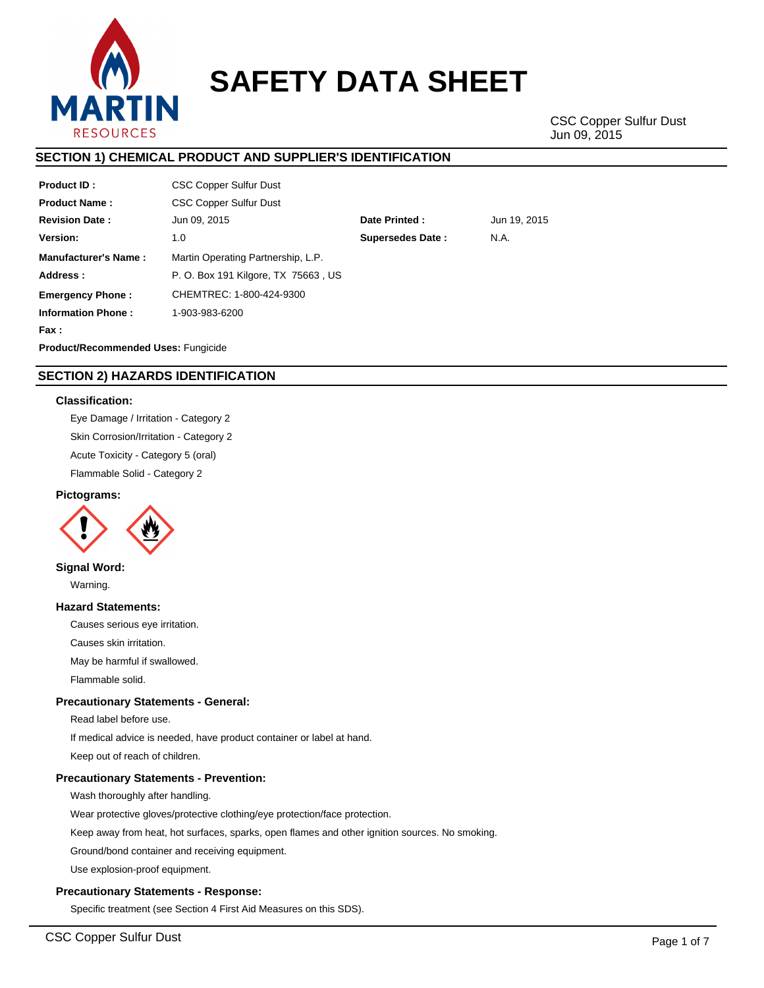

# **SAFETY DATA SHEET**

CSC Copper Sulfur Dust Jun 09, 2015

# **SECTION 1) CHEMICAL PRODUCT AND SUPPLIER'S IDENTIFICATION**

| <b>Product ID:</b>                         | <b>CSC Copper Sulfur Dust</b>          |               |              |  |  |  |  |
|--------------------------------------------|----------------------------------------|---------------|--------------|--|--|--|--|
| <b>Product Name:</b>                       | <b>CSC Copper Sulfur Dust</b>          |               |              |  |  |  |  |
| <b>Revision Date:</b>                      | Jun 09, 2015                           | Date Printed: | Jun 19, 2015 |  |  |  |  |
| Version:                                   | <b>Supersedes Date:</b><br>N.A.<br>1.0 |               |              |  |  |  |  |
| <b>Manufacturer's Name:</b>                | Martin Operating Partnership, L.P.     |               |              |  |  |  |  |
| Address:                                   | P. O. Box 191 Kilgore, TX 75663, US    |               |              |  |  |  |  |
| <b>Emergency Phone:</b>                    | CHEMTREC: 1-800-424-9300               |               |              |  |  |  |  |
| <b>Information Phone:</b>                  | 1-903-983-6200                         |               |              |  |  |  |  |
| Fax :                                      |                                        |               |              |  |  |  |  |
| <b>Product/Recommended Uses: Fungicide</b> |                                        |               |              |  |  |  |  |

# **SECTION 2) HAZARDS IDENTIFICATION**

# **Classification:**

Eye Damage / Irritation - Category 2 Skin Corrosion/Irritation - Category 2 Acute Toxicity - Category 5 (oral) Flammable Solid - Category 2

# **Pictograms:**



# **Signal Word:**

Warning.

# **Hazard Statements:**

Causes serious eye irritation.

Causes skin irritation.

May be harmful if swallowed.

Flammable solid.

# **Precautionary Statements - General:**

Read label before use.

If medical advice is needed, have product container or label at hand.

Keep out of reach of children.

# **Precautionary Statements - Prevention:**

Wash thoroughly after handling.

Wear protective gloves/protective clothing/eye protection/face protection.

Keep away from heat, hot surfaces, sparks, open flames and other ignition sources. No smoking.

Ground/bond container and receiving equipment.

Use explosion-proof equipment.

# **Precautionary Statements - Response:**

Specific treatment (see Section 4 First Aid Measures on this SDS).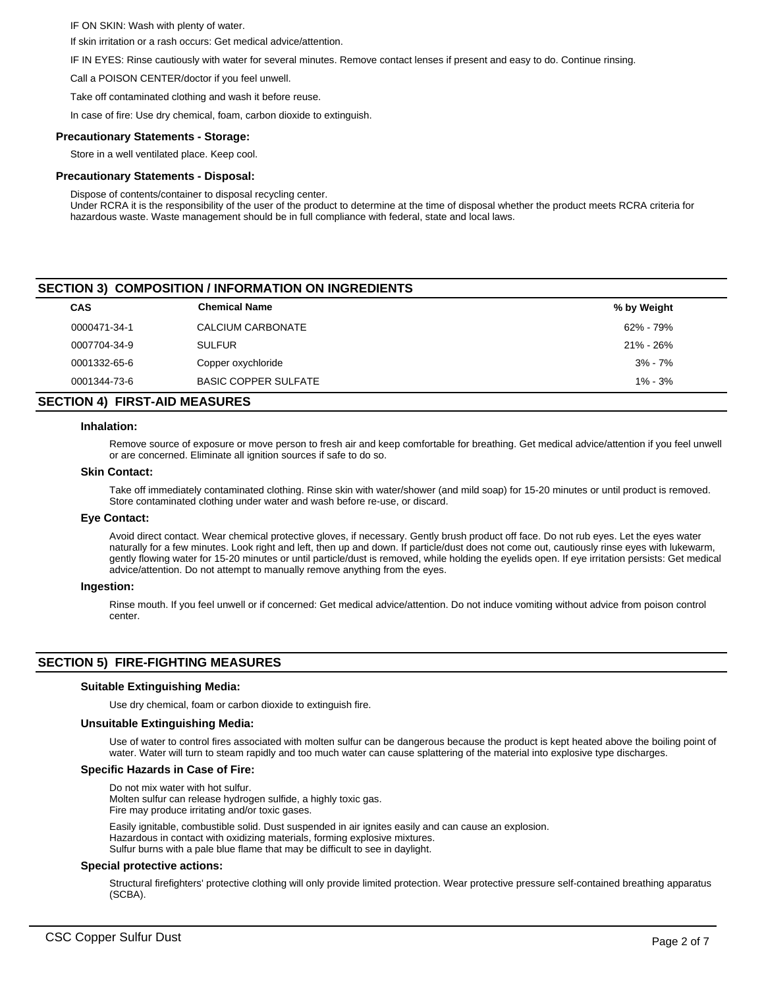IF ON SKIN: Wash with plenty of water.

If skin irritation or a rash occurs: Get medical advice/attention.

IF IN EYES: Rinse cautiously with water for several minutes. Remove contact lenses if present and easy to do. Continue rinsing.

Call a POISON CENTER/doctor if you feel unwell.

Take off contaminated clothing and wash it before reuse.

In case of fire: Use dry chemical, foam, carbon dioxide to extinguish.

# **Precautionary Statements - Storage:**

Store in a well ventilated place. Keep cool.

### **Precautionary Statements - Disposal:**

Dispose of contents/container to disposal recycling center.

Under RCRA it is the responsibility of the user of the product to determine at the time of disposal whether the product meets RCRA criteria for hazardous waste. Waste management should be in full compliance with federal, state and local laws.

# **SECTION 3) COMPOSITION / INFORMATION ON INGREDIENTS**

| <b>CAS</b>   | <b>Chemical Name</b>        | % by Weight |  |
|--------------|-----------------------------|-------------|--|
| 0000471-34-1 | CALCIUM CARBONATE           | 62% - 79%   |  |
| 0007704-34-9 | <b>SULFUR</b>               | 21% - 26%   |  |
| 0001332-65-6 | Copper oxychloride          | $3\% - 7\%$ |  |
| 0001344-73-6 | <b>BASIC COPPER SULFATE</b> | $1\% - 3\%$ |  |
|              |                             |             |  |

# **SECTION 4) FIRST-AID MEASURES**

#### **Inhalation:**

Remove source of exposure or move person to fresh air and keep comfortable for breathing. Get medical advice/attention if you feel unwell or are concerned. Eliminate all ignition sources if safe to do so.

### **Skin Contact:**

Take off immediately contaminated clothing. Rinse skin with water/shower (and mild soap) for 15-20 minutes or until product is removed. Store contaminated clothing under water and wash before re-use, or discard.

#### **Eye Contact:**

Avoid direct contact. Wear chemical protective gloves, if necessary. Gently brush product off face. Do not rub eyes. Let the eyes water naturally for a few minutes. Look right and left, then up and down. If particle/dust does not come out, cautiously rinse eyes with lukewarm, gently flowing water for 15-20 minutes or until particle/dust is removed, while holding the eyelids open. If eye irritation persists: Get medical advice/attention. Do not attempt to manually remove anything from the eyes.

### **Ingestion:**

Rinse mouth. If you feel unwell or if concerned: Get medical advice/attention. Do not induce vomiting without advice from poison control center.

# **SECTION 5) FIRE-FIGHTING MEASURES**

#### **Suitable Extinguishing Media:**

Use dry chemical, foam or carbon dioxide to extinguish fire.

### **Unsuitable Extinguishing Media:**

Use of water to control fires associated with molten sulfur can be dangerous because the product is kept heated above the boiling point of water. Water will turn to steam rapidly and too much water can cause splattering of the material into explosive type discharges.

### **Specific Hazards in Case of Fire:**

Do not mix water with hot sulfur.

Molten sulfur can release hydrogen sulfide, a highly toxic gas. Fire may produce irritating and/or toxic gases.

Easily ignitable, combustible solid. Dust suspended in air ignites easily and can cause an explosion. Hazardous in contact with oxidizing materials, forming explosive mixtures. Sulfur burns with a pale blue flame that may be difficult to see in daylight.

#### **Special protective actions:**

Structural firefighters' protective clothing will only provide limited protection. Wear protective pressure self-contained breathing apparatus (SCBA).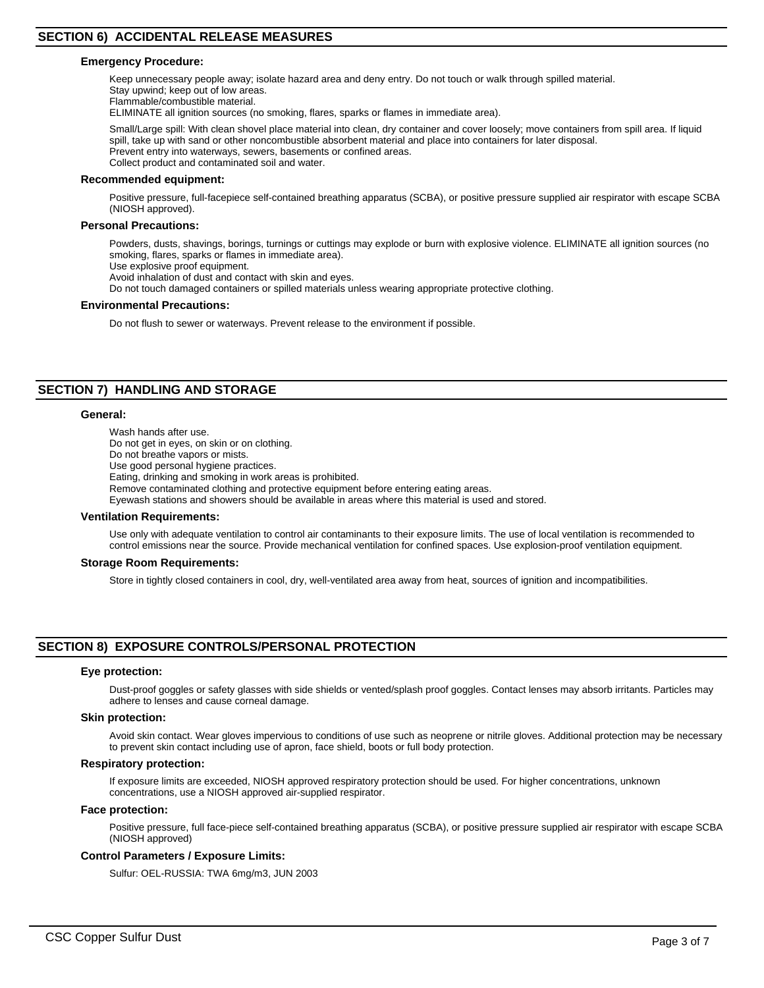### **Emergency Procedure:**

Keep unnecessary people away; isolate hazard area and deny entry. Do not touch or walk through spilled material. Stay upwind; keep out of low areas. Flammable/combustible material.

ELIMINATE all ignition sources (no smoking, flares, sparks or flames in immediate area).

Small/Large spill: With clean shovel place material into clean, dry container and cover loosely; move containers from spill area. If liquid spill, take up with sand or other noncombustible absorbent material and place into containers for later disposal. Prevent entry into waterways, sewers, basements or confined areas.

Collect product and contaminated soil and water.

# **Recommended equipment:**

Positive pressure, full-facepiece self-contained breathing apparatus (SCBA), or positive pressure supplied air respirator with escape SCBA (NIOSH approved).

#### **Personal Precautions:**

Powders, dusts, shavings, borings, turnings or cuttings may explode or burn with explosive violence. ELIMINATE all ignition sources (no smoking, flares, sparks or flames in immediate area).

Use explosive proof equipment.

Avoid inhalation of dust and contact with skin and eyes.

Do not touch damaged containers or spilled materials unless wearing appropriate protective clothing.

#### **Environmental Precautions:**

Do not flush to sewer or waterways. Prevent release to the environment if possible.

# **SECTION 7) HANDLING AND STORAGE**

#### **General:**

Wash hands after use. Do not get in eyes, on skin or on clothing. Do not breathe vapors or mists. Use good personal hygiene practices. Eating, drinking and smoking in work areas is prohibited. Remove contaminated clothing and protective equipment before entering eating areas. Eyewash stations and showers should be available in areas where this material is used and stored.

#### **Ventilation Requirements:**

Use only with adequate ventilation to control air contaminants to their exposure limits. The use of local ventilation is recommended to control emissions near the source. Provide mechanical ventilation for confined spaces. Use explosion-proof ventilation equipment.

### **Storage Room Requirements:**

Store in tightly closed containers in cool, dry, well-ventilated area away from heat, sources of ignition and incompatibilities.

# **SECTION 8) EXPOSURE CONTROLS/PERSONAL PROTECTION**

### **Eye protection:**

Dust-proof goggles or safety glasses with side shields or vented/splash proof goggles. Contact lenses may absorb irritants. Particles may adhere to lenses and cause corneal damage.

### **Skin protection:**

Avoid skin contact. Wear gloves impervious to conditions of use such as neoprene or nitrile gloves. Additional protection may be necessary to prevent skin contact including use of apron, face shield, boots or full body protection.

### **Respiratory protection:**

If exposure limits are exceeded, NIOSH approved respiratory protection should be used. For higher concentrations, unknown concentrations, use a NIOSH approved air-supplied respirator.

### **Face protection:**

Positive pressure, full face-piece self-contained breathing apparatus (SCBA), or positive pressure supplied air respirator with escape SCBA (NIOSH approved)

# **Control Parameters / Exposure Limits:**

Sulfur: OEL-RUSSIA: TWA 6mg/m3, JUN 2003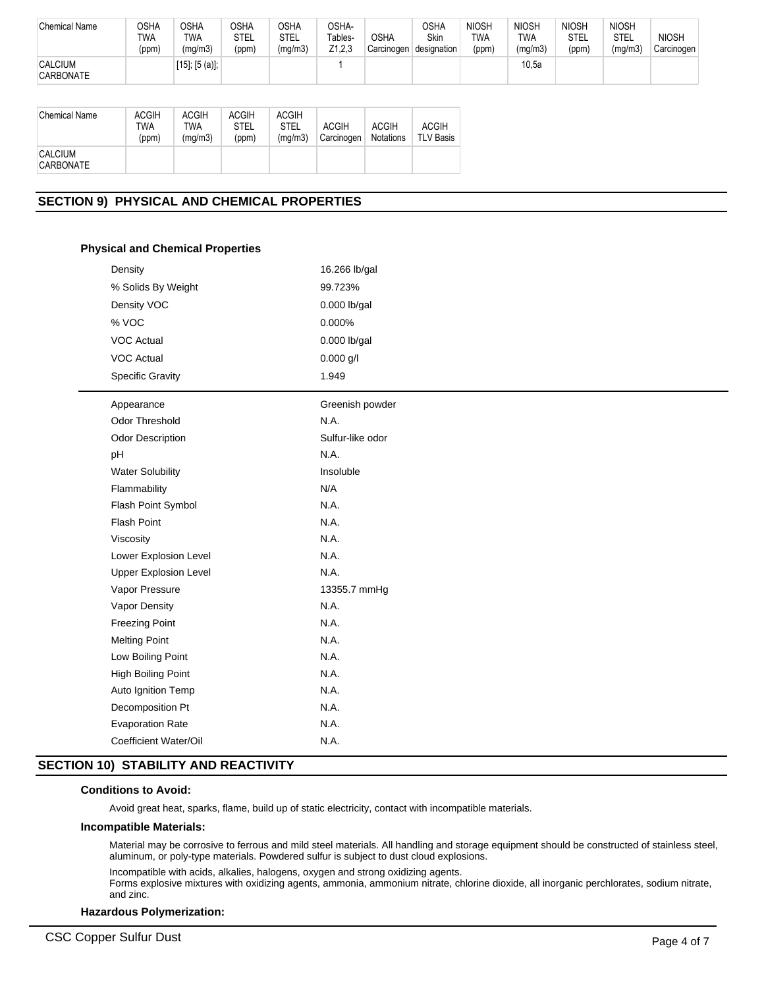| <b>Chemical Name</b> | OSHA<br>TWA<br>(ppm) | <b>OSHA</b><br><b>TWA</b><br>(mq/m3) | OSHA<br><b>STEL</b><br>(ppm) | OSHA<br><b>STEL</b><br>(mg/m3) | OSHA-<br>Tables-<br>Z1.2.3 | <b>OSHA</b><br>Carcinogen | OSHA<br>Skin<br>designation | <b>NIOSH</b><br><b>TWA</b><br>(ppm) | <b>NIOSH</b><br><b>TWA</b><br>(mq/m3) | <b>NIOSH</b><br><b>STEL</b><br>(ppm) | <b>NIOSH</b><br>STEL<br>(ma/m3) | <b>NIOSH</b><br>Carcinogen |
|----------------------|----------------------|--------------------------------------|------------------------------|--------------------------------|----------------------------|---------------------------|-----------------------------|-------------------------------------|---------------------------------------|--------------------------------------|---------------------------------|----------------------------|
| CALCIUM<br>CARBONATE |                      | $[15]$ ; $[5 (a)]$ ;                 |                              |                                |                            |                           |                             |                                     | 10.5a                                 |                                      |                                 |                            |

| <b>Chemical Name</b>               | ACGIH<br>TWA<br>(ppm) | <b>ACGIH</b><br>TWA<br>(mq/m3) | <b>ACGIH</b><br><b>STEL</b><br>(ppm) | <b>ACGIH</b><br><b>STEL</b><br>(mq/m3) | <b>ACGIH</b><br>Carcinogen | <b>ACGIH</b><br><b>Notations</b> | <b>ACGIH</b><br><b>TLV Basis</b> |
|------------------------------------|-----------------------|--------------------------------|--------------------------------------|----------------------------------------|----------------------------|----------------------------------|----------------------------------|
| <b>CALCIUM</b><br><b>CARBONATE</b> |                       |                                |                                      |                                        |                            |                                  |                                  |

# **SECTION 9) PHYSICAL AND CHEMICAL PROPERTIES**

# Appearance Greenish powder Odor Threshold N.A. Odor Description Sulfur-like odor pH  $N.A.$ Water Solubility **Insoluble** Flammability N/A Flash Point Symbol N.A. Flash Point N.A. Viscosity N.A. Lower Explosion Level N.A. Upper Explosion Level N.A. Vapor Pressure 13355.7 mmHg Vapor Density N.A. Freezing Point N.A. Melting Point N.A. Low Boiling Point N.A. High Boiling Point N.A. Auto Ignition Temp N.A. Decomposition Pt N.A. Evaporation Rate N.A. Coefficient Water/Oil N.A. **Physical and Chemical Properties** Density 16.266 lb/gal % Solids By Weight 99.723% Density VOC 0.000 lb/gal % VOC 0.000% VOC Actual 0.000 lb/gal VOC Actual 0.000 g/l Specific Gravity 1.949

# **SECTION 10) STABILITY AND REACTIVITY**

# **Conditions to Avoid:**

Avoid great heat, sparks, flame, build up of static electricity, contact with incompatible materials.

# **Incompatible Materials:**

Material may be corrosive to ferrous and mild steel materials. All handling and storage equipment should be constructed of stainless steel, aluminum, or poly-type materials. Powdered sulfur is subject to dust cloud explosions.

Incompatible with acids, alkalies, halogens, oxygen and strong oxidizing agents.

Forms explosive mixtures with oxidizing agents, ammonia, ammonium nitrate, chlorine dioxide, all inorganic perchlorates, sodium nitrate, and zinc.

# **Hazardous Polymerization:**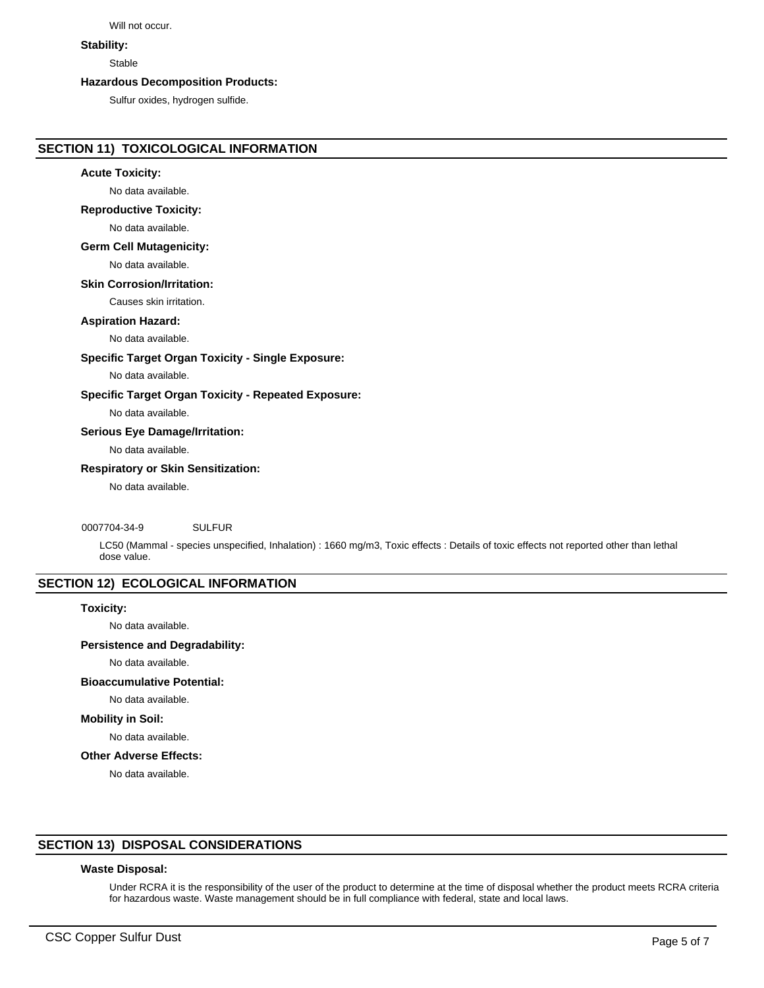Will not occur.

# **Stability:**

Stable

# **Hazardous Decomposition Products:**

Sulfur oxides, hydrogen sulfide.

# **SECTION 11) TOXICOLOGICAL INFORMATION**

# **Acute Toxicity:**

No data available.

### **Reproductive Toxicity:**

No data available.

# **Germ Cell Mutagenicity:**

No data available.

# **Skin Corrosion/Irritation:**

Causes skin irritation.

# **Aspiration Hazard:**

No data available.

# **Specific Target Organ Toxicity - Single Exposure:**

No data available.

# **Specific Target Organ Toxicity - Repeated Exposure:**

No data available.

# **Serious Eye Damage/Irritation:**

No data available.

# **Respiratory or Skin Sensitization:**

No data available.

## 0007704-34-9 SULFUR

LC50 (Mammal - species unspecified, Inhalation) : 1660 mg/m3, Toxic effects : Details of toxic effects not reported other than lethal dose value.

# **SECTION 12) ECOLOGICAL INFORMATION**

# **Toxicity:**

No data available.

# **Persistence and Degradability:**

No data available.

# **Bioaccumulative Potential:**

No data available.

# **Mobility in Soil:**

No data available.

# **Other Adverse Effects:**

No data available.

# **SECTION 13) DISPOSAL CONSIDERATIONS**

# **Waste Disposal:**

Under RCRA it is the responsibility of the user of the product to determine at the time of disposal whether the product meets RCRA criteria for hazardous waste. Waste management should be in full compliance with federal, state and local laws.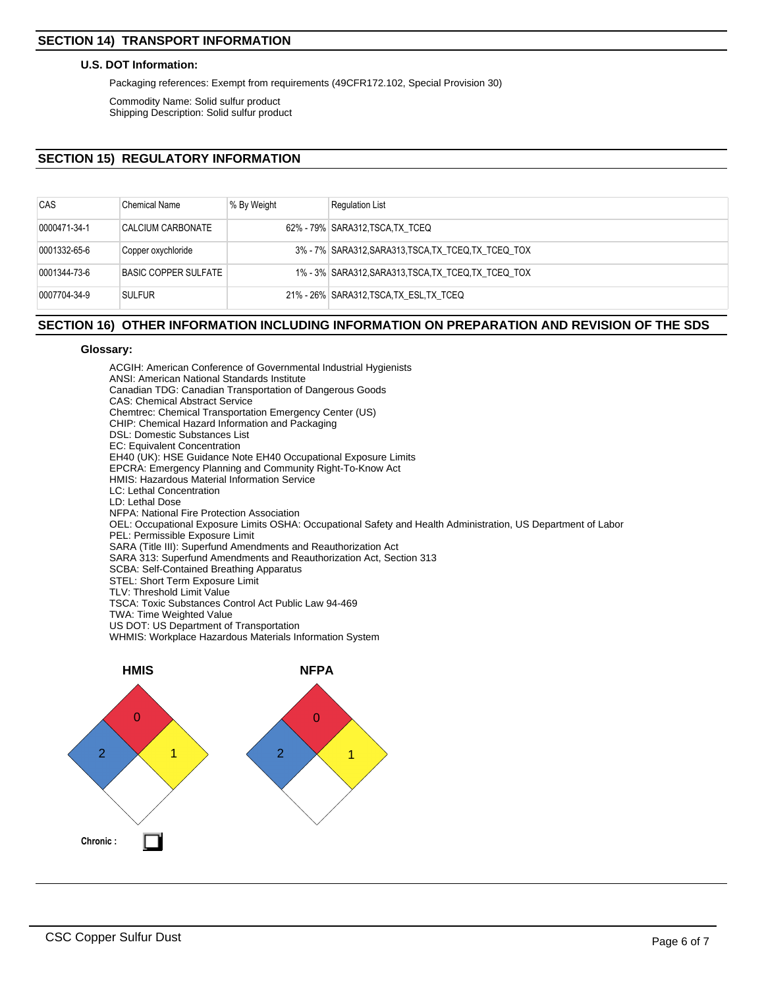# **U.S. DOT Information:**

Packaging references: Exempt from requirements (49CFR172.102, Special Provision 30)

Commodity Name: Solid sulfur product Shipping Description: Solid sulfur product

# **SECTION 15) REGULATORY INFORMATION**

| CAS          | <b>Chemical Name</b>        | ∣% By Weight | <b>Regulation List</b>                               |
|--------------|-----------------------------|--------------|------------------------------------------------------|
| 0000471-34-1 | CALCIUM CARBONATE           |              | 62% - 79% SARA312, TSCA, TX TCEQ                     |
| 0001332-65-6 | Copper oxychloride          |              | 3% - 7% SARA312, SARA313, TSCA, TX TCEQ, TX TCEQ TOX |
| 0001344-73-6 | <b>BASIC COPPER SULFATE</b> |              | 1% - 3% SARA312, SARA313, TSCA, TX TCEQ, TX TCEQ TOX |
| 0007704-34-9 | <b>SULFUR</b>               |              | 21% - 26% SARA312, TSCA, TX ESL, TX TCEQ             |

# **SECTION 16) OTHER INFORMATION INCLUDING INFORMATION ON PREPARATION AND REVISION OF THE SDS**

# **Glossary:**

ACGIH: American Conference of Governmental Industrial Hygienists ANSI: American National Standards Institute Canadian TDG: Canadian Transportation of Dangerous Goods CAS: Chemical Abstract Service Chemtrec: Chemical Transportation Emergency Center (US) CHIP: Chemical Hazard Information and Packaging DSL: Domestic Substances List EC: Equivalent Concentration EH40 (UK): HSE Guidance Note EH40 Occupational Exposure Limits EPCRA: Emergency Planning and Community Right-To-Know Act HMIS: Hazardous Material Information Service LC: Lethal Concentration LD: Lethal Dose NFPA: National Fire Protection Association OEL: Occupational Exposure Limits OSHA: Occupational Safety and Health Administration, US Department of Labor PEL: Permissible Exposure Limit SARA (Title III): Superfund Amendments and Reauthorization Act SARA 313: Superfund Amendments and Reauthorization Act, Section 313 SCBA: Self-Contained Breathing Apparatus STEL: Short Term Exposure Limit TLV: Threshold Limit Value TSCA: Toxic Substances Control Act Public Law 94-469 TWA: Time Weighted Value US DOT: US Department of Transportation WHMIS: Workplace Hazardous Materials Information System